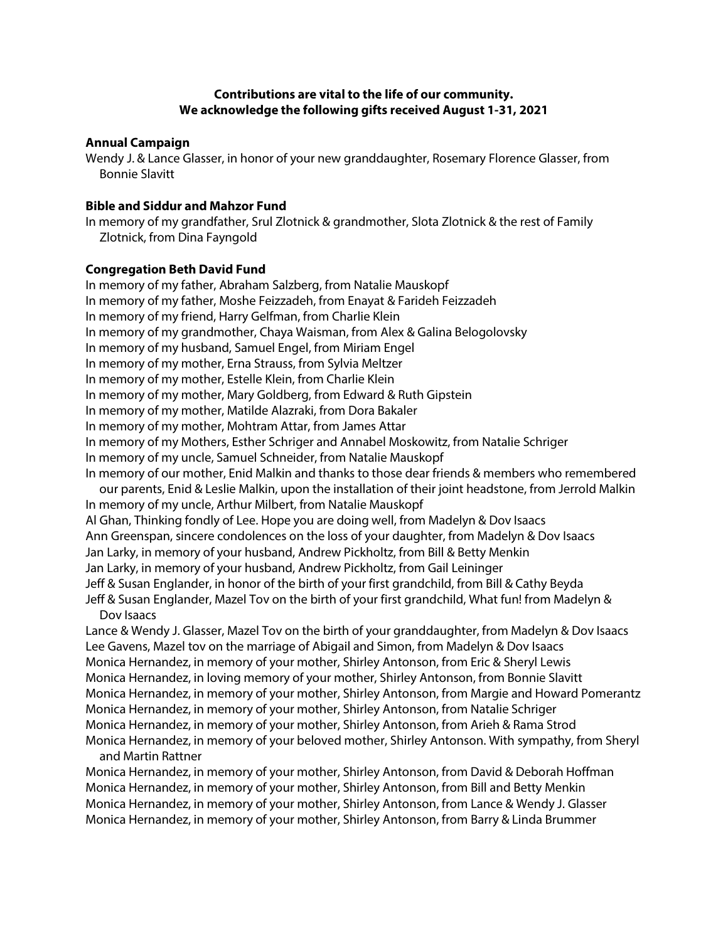# **Contributions are vital to the life of our community. We acknowledge the following gifts received August 1-31, 2021**

#### **Annual Campaign**

Wendy J. & Lance Glasser, in honor of your new granddaughter, Rosemary Florence Glasser, from Bonnie Slavitt

### **Bible and Siddur and Mahzor Fund**

In memory of my grandfather, Srul Zlotnick & grandmother, Slota Zlotnick & the rest of Family Zlotnick, from Dina Fayngold

#### **Congregation Beth David Fund**

In memory of my father, Abraham Salzberg, from Natalie Mauskopf In memory of my father, Moshe Feizzadeh, from Enayat & Farideh Feizzadeh In memory of my friend, Harry Gelfman, from Charlie Klein In memory of my grandmother, Chaya Waisman, from Alex & Galina Belogolovsky In memory of my husband, Samuel Engel, from Miriam Engel In memory of my mother, Erna Strauss, from Sylvia Meltzer In memory of my mother, Estelle Klein, from Charlie Klein In memory of my mother, Mary Goldberg, from Edward & Ruth Gipstein In memory of my mother, Matilde Alazraki, from Dora Bakaler In memory of my mother, Mohtram Attar, from James Attar In memory of my Mothers, Esther Schriger and Annabel Moskowitz, from Natalie Schriger In memory of my uncle, Samuel Schneider, from Natalie Mauskopf In memory of our mother, Enid Malkin and thanks to those dear friends & members who remembered our parents, Enid & Leslie Malkin, upon the installation of their joint headstone, from Jerrold Malkin In memory of my uncle, Arthur Milbert, from Natalie Mauskopf Al Ghan, Thinking fondly of Lee. Hope you are doing well, from Madelyn & Dov Isaacs Ann Greenspan, sincere condolences on the loss of your daughter, from Madelyn & Dov Isaacs Jan Larky, in memory of your husband, Andrew Pickholtz, from Bill & Betty Menkin Jan Larky, in memory of your husband, Andrew Pickholtz, from Gail Leininger

Jeff & Susan Englander, in honor of the birth of your first grandchild, from Bill & Cathy Beyda

Jeff & Susan Englander, Mazel Tov on the birth of your first grandchild, What fun! from Madelyn & Dov Isaacs

Lance & Wendy J. Glasser, Mazel Tov on the birth of your granddaughter, from Madelyn & Dov Isaacs Lee Gavens, Mazel tov on the marriage of Abigail and Simon, from Madelyn & Dov Isaacs Monica Hernandez, in memory of your mother, Shirley Antonson, from Eric & Sheryl Lewis Monica Hernandez, in loving memory of your mother, Shirley Antonson, from Bonnie Slavitt Monica Hernandez, in memory of your mother, Shirley Antonson, from Margie and Howard Pomerantz Monica Hernandez, in memory of your mother, Shirley Antonson, from Natalie Schriger Monica Hernandez, in memory of your mother, Shirley Antonson, from Arieh & Rama Strod Monica Hernandez, in memory of your beloved mother, Shirley Antonson. With sympathy, from Sheryl and Martin Rattner

Monica Hernandez, in memory of your mother, Shirley Antonson, from David & Deborah Hoffman Monica Hernandez, in memory of your mother, Shirley Antonson, from Bill and Betty Menkin Monica Hernandez, in memory of your mother, Shirley Antonson, from Lance & Wendy J. Glasser Monica Hernandez, in memory of your mother, Shirley Antonson, from Barry & Linda Brummer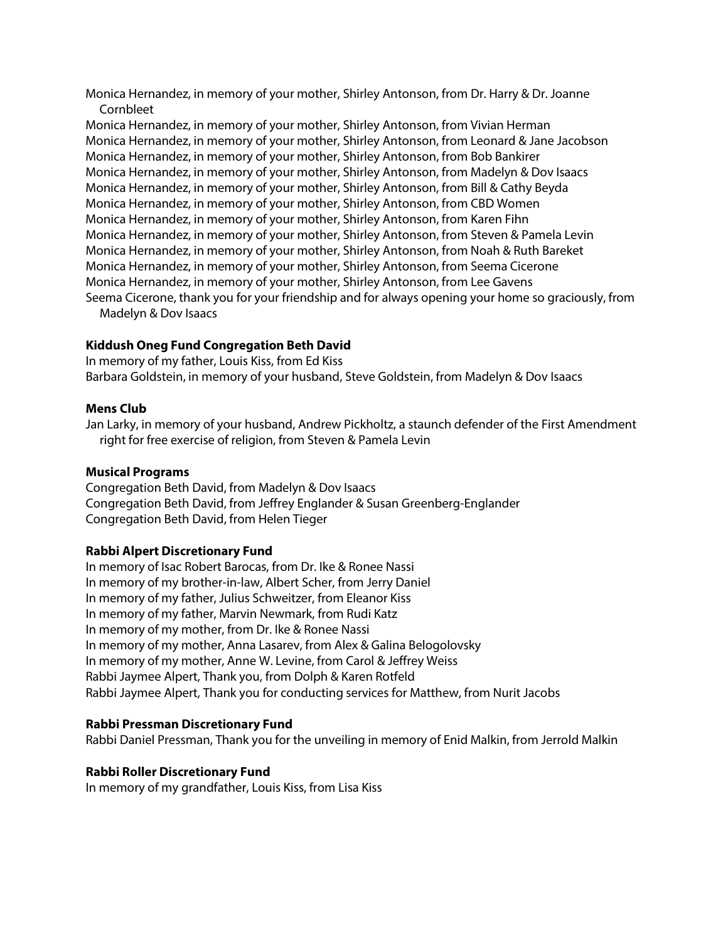Monica Hernandez, in memory of your mother, Shirley Antonson, from Dr. Harry & Dr. Joanne Cornbleet

Monica Hernandez, in memory of your mother, Shirley Antonson, from Vivian Herman Monica Hernandez, in memory of your mother, Shirley Antonson, from Leonard & Jane Jacobson Monica Hernandez, in memory of your mother, Shirley Antonson, from Bob Bankirer Monica Hernandez, in memory of your mother, Shirley Antonson, from Madelyn & Dov Isaacs Monica Hernandez, in memory of your mother, Shirley Antonson, from Bill & Cathy Beyda Monica Hernandez, in memory of your mother, Shirley Antonson, from CBD Women Monica Hernandez, in memory of your mother, Shirley Antonson, from Karen Fihn Monica Hernandez, in memory of your mother, Shirley Antonson, from Steven & Pamela Levin Monica Hernandez, in memory of your mother, Shirley Antonson, from Noah & Ruth Bareket Monica Hernandez, in memory of your mother, Shirley Antonson, from Seema Cicerone Monica Hernandez, in memory of your mother, Shirley Antonson, from Lee Gavens Seema Cicerone, thank you for your friendship and for always opening your home so graciously, from

Madelyn & Dov Isaacs

## **Kiddush Oneg Fund Congregation Beth David**

In memory of my father, Louis Kiss, from Ed Kiss Barbara Goldstein, in memory of your husband, Steve Goldstein, from Madelyn & Dov Isaacs

### **Mens Club**

Jan Larky, in memory of your husband, Andrew Pickholtz, a staunch defender of the First Amendment right for free exercise of religion, from Steven & Pamela Levin

### **Musical Programs**

Congregation Beth David, from Madelyn & Dov Isaacs Congregation Beth David, from Jeffrey Englander & Susan Greenberg-Englander Congregation Beth David, from Helen Tieger

### **Rabbi Alpert Discretionary Fund**

In memory of Isac Robert Barocas, from Dr. Ike & Ronee Nassi In memory of my brother-in-law, Albert Scher, from Jerry Daniel In memory of my father, Julius Schweitzer, from Eleanor Kiss In memory of my father, Marvin Newmark, from Rudi Katz In memory of my mother, from Dr. Ike & Ronee Nassi In memory of my mother, Anna Lasarev, from Alex & Galina Belogolovsky In memory of my mother, Anne W. Levine, from Carol & Jeffrey Weiss Rabbi Jaymee Alpert, Thank you, from Dolph & Karen Rotfeld Rabbi Jaymee Alpert, Thank you for conducting services for Matthew, from Nurit Jacobs

### **Rabbi Pressman Discretionary Fund**

Rabbi Daniel Pressman, Thank you for the unveiling in memory of Enid Malkin, from Jerrold Malkin

### **Rabbi Roller Discretionary Fund**

In memory of my grandfather, Louis Kiss, from Lisa Kiss